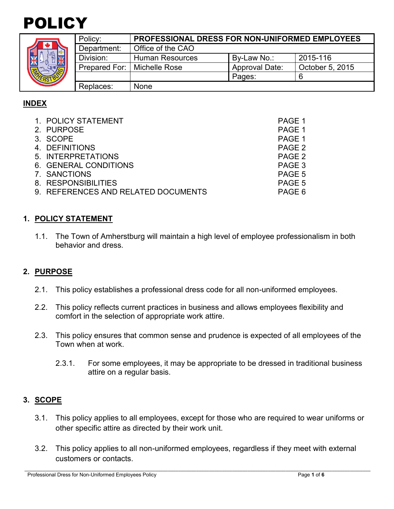



|  | Policy:                       | <b>PROFESSIONAL DRESS FOR NON-UNIFORMED EMPLOYEES</b> |                       |                 |  |
|--|-------------------------------|-------------------------------------------------------|-----------------------|-----------------|--|
|  | Department:                   | Office of the CAO                                     |                       |                 |  |
|  | Division:                     | <b>Human Resources</b>                                | By-Law No.:           | 2015-116        |  |
|  | Prepared For:   Michelle Rose |                                                       | <b>Approval Date:</b> | October 5, 2015 |  |
|  |                               |                                                       | Pages:                |                 |  |
|  | Replaces:                     | None                                                  |                       |                 |  |

# **INDEX**

| 1. POLICY STATEMENT                 | PAGE 1 |
|-------------------------------------|--------|
| 2. PURPOSE                          | PAGE 1 |
| 3. SCOPE                            | PAGE 1 |
| 4. DEFINITIONS                      | PAGE 2 |
| 5. INTERPRETATIONS                  | PAGE 2 |
| 6. GENERAL CONDITIONS               | PAGE 3 |
| 7. SANCTIONS                        | PAGE 5 |
| 8. RESPONSIBILITIES                 | PAGE 5 |
| 9. REFERENCES AND RELATED DOCUMENTS | PAGE 6 |

# **1. POLICY STATEMENT**

1.1. The Town of Amherstburg will maintain a high level of employee professionalism in both behavior and dress.

# **2. PURPOSE**

- 2.1. This policy establishes a professional dress code for all non-uniformed employees.
- 2.2. This policy reflects current practices in business and allows employees flexibility and comfort in the selection of appropriate work attire.
- 2.3. This policy ensures that common sense and prudence is expected of all employees of the Town when at work.
	- 2.3.1. For some employees, it may be appropriate to be dressed in traditional business attire on a regular basis.

# **3. SCOPE**

- 3.1. This policy applies to all employees, except for those who are required to wear uniforms or other specific attire as directed by their work unit.
- 3.2. This policy applies to all non-uniformed employees, regardless if they meet with external customers or contacts.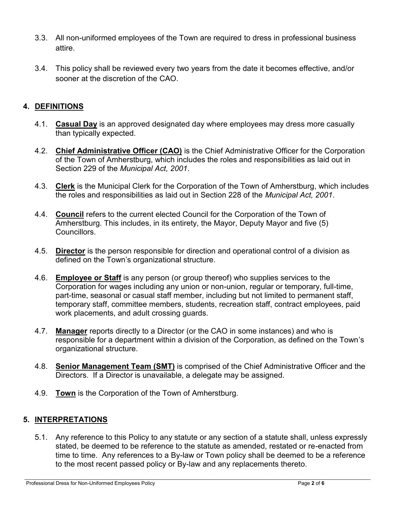- 3.3. All non-uniformed employees of the Town are required to dress in professional business attire.
- 3.4. This policy shall be reviewed every two years from the date it becomes effective, and/or sooner at the discretion of the CAO.

# **4. DEFINITIONS**

- 4.1. **Casual Day** is an approved designated day where employees may dress more casually than typically expected.
- 4.2. **Chief Administrative Officer (CAO)** is the Chief Administrative Officer for the Corporation of the Town of Amherstburg, which includes the roles and responsibilities as laid out in Section 229 of the *Municipal Act, 2001*.
- 4.3. **Clerk** is the Municipal Clerk for the Corporation of the Town of Amherstburg, which includes the roles and responsibilities as laid out in Section 228 of the *Municipal Act, 2001*.
- 4.4. **Council** refers to the current elected Council for the Corporation of the Town of Amherstburg. This includes, in its entirety, the Mayor, Deputy Mayor and five (5) Councillors.
- 4.5. **Director** is the person responsible for direction and operational control of a division as defined on the Town's organizational structure.
- 4.6. **Employee or Staff** is any person (or group thereof) who supplies services to the Corporation for wages including any union or non-union, regular or temporary, full-time, part-time, seasonal or casual staff member, including but not limited to permanent staff, temporary staff, committee members, students, recreation staff, contract employees, paid work placements, and adult crossing guards.
- 4.7. **Manager** reports directly to a Director (or the CAO in some instances) and who is responsible for a department within a division of the Corporation, as defined on the Town's organizational structure.
- 4.8. **Senior Management Team (SMT)** is comprised of the Chief Administrative Officer and the Directors. If a Director is unavailable, a delegate may be assigned.
- 4.9. **Town** is the Corporation of the Town of Amherstburg.

# **5. INTERPRETATIONS**

5.1. Any reference to this Policy to any statute or any section of a statute shall, unless expressly stated, be deemed to be reference to the statute as amended, restated or re-enacted from time to time. Any references to a By-law or Town policy shall be deemed to be a reference to the most recent passed policy or By-law and any replacements thereto.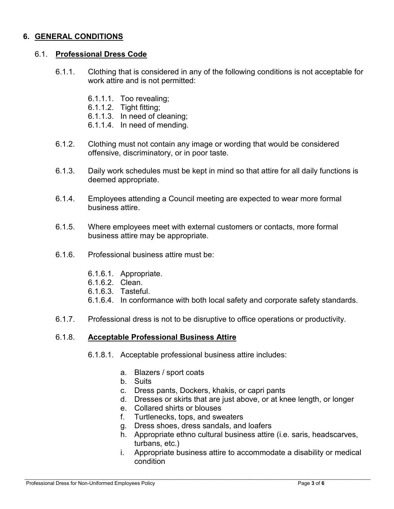### **6. GENERAL CONDITIONS**

#### 6.1. **Professional Dress Code**

- 6.1.1. Clothing that is considered in any of the following conditions is not acceptable for work attire and is not permitted:
	- 6.1.1.1. Too revealing;
	- 6.1.1.2. Tight fitting;
	- 6.1.1.3. In need of cleaning;
	- 6.1.1.4. In need of mending.
- 6.1.2. Clothing must not contain any image or wording that would be considered offensive, discriminatory, or in poor taste.
- 6.1.3. Daily work schedules must be kept in mind so that attire for all daily functions is deemed appropriate.
- 6.1.4. Employees attending a Council meeting are expected to wear more formal business attire.
- 6.1.5. Where employees meet with external customers or contacts, more formal business attire may be appropriate.
- 6.1.6. Professional business attire must be:
	- 6.1.6.1. Appropriate.
	- 6.1.6.2. Clean.
	- 6.1.6.3. Tasteful.
	- 6.1.6.4. In conformance with both local safety and corporate safety standards.
- 6.1.7. Professional dress is not to be disruptive to office operations or productivity.

#### 6.1.8. **Acceptable Professional Business Attire**

- 6.1.8.1. Acceptable professional business attire includes:
	- a. Blazers / sport coats
	- b. Suits
	- c. Dress pants, Dockers, khakis, or capri pants
	- d. Dresses or skirts that are just above, or at knee length, or longer
	- e. Collared shirts or blouses
	- f. Turtlenecks, tops, and sweaters
	- g. Dress shoes, dress sandals, and loafers
	- h. Appropriate ethno cultural business attire (i.e. saris, headscarves, turbans, etc.)
	- i. Appropriate business attire to accommodate a disability or medical condition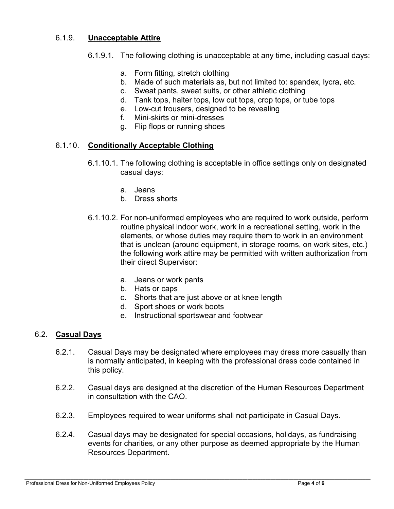#### 6.1.9. **Unacceptable Attire**

- 6.1.9.1. The following clothing is unacceptable at any time, including casual days:
	- a. Form fitting, stretch clothing
	- b. Made of such materials as, but not limited to: spandex, lycra, etc.
	- c. Sweat pants, sweat suits, or other athletic clothing
	- d. Tank tops, halter tops, low cut tops, crop tops, or tube tops
	- e. Low-cut trousers, designed to be revealing
	- f. Mini-skirts or mini-dresses
	- g. Flip flops or running shoes

### 6.1.10. **Conditionally Acceptable Clothing**

- 6.1.10.1. The following clothing is acceptable in office settings only on designated casual days:
	- a. Jeans
	- b. Dress shorts
- 6.1.10.2. For non-uniformed employees who are required to work outside, perform routine physical indoor work, work in a recreational setting, work in the elements, or whose duties may require them to work in an environment that is unclean (around equipment, in storage rooms, on work sites, etc.) the following work attire may be permitted with written authorization from their direct Supervisor:
	- a. Jeans or work pants
	- b. Hats or caps
	- c. Shorts that are just above or at knee length
	- d. Sport shoes or work boots
	- e. Instructional sportswear and footwear

#### 6.2. **Casual Days**

- 6.2.1. Casual Days may be designated where employees may dress more casually than is normally anticipated, in keeping with the professional dress code contained in this policy.
- 6.2.2. Casual days are designed at the discretion of the Human Resources Department in consultation with the CAO.
- 6.2.3. Employees required to wear uniforms shall not participate in Casual Days.
- 6.2.4. Casual days may be designated for special occasions, holidays, as fundraising events for charities, or any other purpose as deemed appropriate by the Human Resources Department.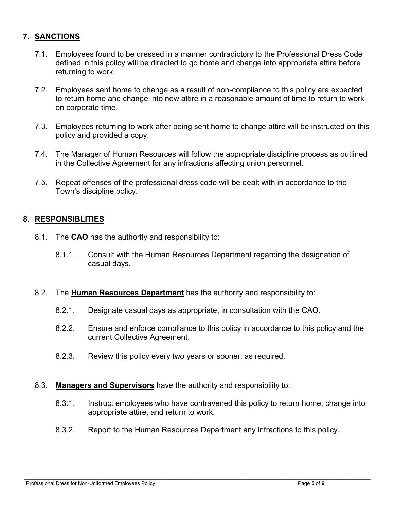# **7. SANCTIONS**

- 7.1. Employees found to be dressed in a manner contradictory to the Professional Dress Code defined in this policy will be directed to go home and change into appropriate attire before returning to work.
- 7.2. Employees sent home to change as a result of non-compliance to this policy are expected to return home and change into new attire in a reasonable amount of time to return to work on corporate time.
- 7.3. Employees returning to work after being sent home to change attire will be instructed on this policy and provided a copy.
- 7.4. The Manager of Human Resources will follow the appropriate discipline process as outlined in the Collective Agreement for any infractions affecting union personnel.
- 7.5. Repeat offenses of the professional dress code will be dealt with in accordance to the Town's discipline policy.

### **8. RESPONSIBLITIES**

- 8.1. The **CAO** has the authority and responsibility to:
	- 8.1.1. Consult with the Human Resources Department regarding the designation of casual days.

#### 8.2. The **Human Resources Department** has the authority and responsibility to:

- 8.2.1. Designate casual days as appropriate, in consultation with the CAO.
- 8.2.2. Ensure and enforce compliance to this policy in accordance to this policy and the current Collective Agreement.
- 8.2.3. Review this policy every two years or sooner, as required.

#### 8.3. **Managers and Supervisors** have the authority and responsibility to:

- 8.3.1. Instruct employees who have contravened this policy to return home, change into appropriate attire, and return to work.
- 8.3.2. Report to the Human Resources Department any infractions to this policy.